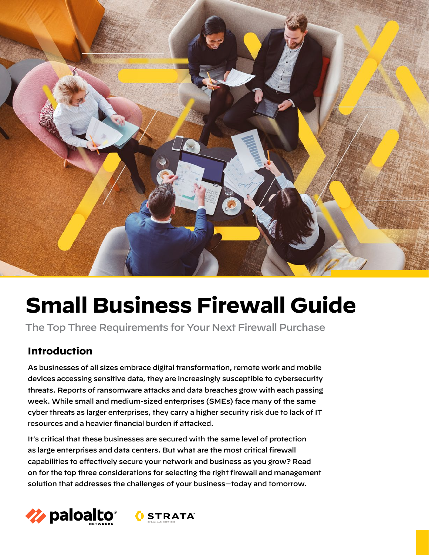

# **Small Business Firewall Guide**

The Top Three Requirements for Your Next Firewall Purchase

# **Introduction**

As businesses of all sizes embrace digital transformation, remote work and mobile devices accessing sensitive data, they are increasingly susceptible to cybersecurity threats. Reports of ransomware attacks and data breaches grow with each passing week. While small and medium-sized enterprises (SMEs) face many of the same cyber threats as larger enterprises, they carry a higher security risk due to lack of IT resources and a heavier financial burden if attacked.

It's critical that these businesses are secured with the same level of protection as large enterprises and data centers. But what are the most critical firewall capabilities to effectively secure your network and business as you grow? Read on for the top three considerations for selecting the right firewall and management solution that addresses the challenges of your business—today and tomorrow.

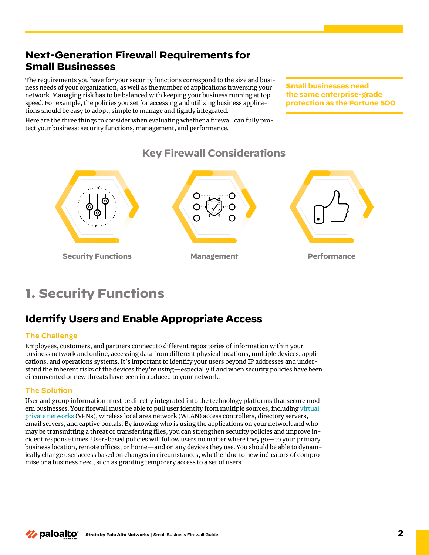# **Next-Generation Firewall Requirements for Small Businesses**

The requirements you have for your security functions correspond to the size and business needs of your organization, as well as the number of applications traversing your network. Managing risk has to be balanced with keeping your business running at top speed. For example, the policies you set for accessing and utilizing business applications should be easy to adopt, simple to manage and tightly integrated.

Here are the three things to consider when evaluating whether a firewall can fully protect your business: security functions, management, and performance.

**Small businesses need the same enterprise-grade protection as the Fortune 500**



**Key Firewall Considerations**

# **1. Security Functions**

# **Identify Users and Enable Appropriate Access**

#### **The Challenge**

Employees, customers, and partners connect to different repositories of information within your business network and online, accessing data from different physical locations, multiple devices, applications, and operations systems. It's important to identify your users beyond IP addresses and understand the inherent risks of the devices they're using—especially if and when security policies have been circumvented or new threats have been introduced to your network.

#### **The Solution**

User and group information must be directly integrated into the technology platforms that secure modern businesses. Your firewall must be able to pull user identity from multiple sources, including virtual [private networks](https://www.paloaltonetworks.com/cyberpedia/what-is-a-business-vpn-understand-its-uses-and-limitations) (VPNs), wireless local area network (WLAN) access controllers, directory servers, email servers, and captive portals. By knowing who is using the applications on your network and who may be transmitting a threat or transferring files, you can strengthen security policies and improve incident response times. User-based policies will follow users no matter where they go—to your primary business location, remote offices, or home—and on any devices they use. You should be able to dynamically change user access based on changes in circumstances, whether due to new indicators of compromise or a business need, such as granting temporary access to a set of users.

**∕2** paloalto **Strata by Palo Alto Networks** | Small Business Firewall Guide **2**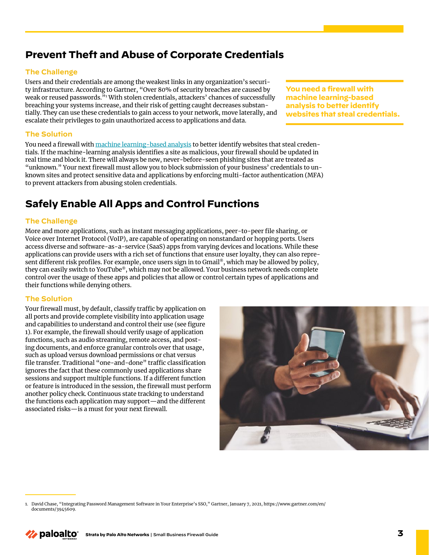### **Prevent Theft and Abuse of Corporate Credentials**

#### **The Challenge**

Users and their credentials are among the weakest links in any organization's security infrastructure. According to Gartner, "Over 80% of security breaches are caused by weak or reused passwords."<sup>1</sup> With stolen credentials, attackers' chances of successfully breaching your systems increase, and their risk of getting caught decreases substantially. They can use these credentials to gain access to your network, move laterally, and escalate their privileges to gain unauthorized access to applications and data.

#### **The Solution**

You need a firewall with [machine learning-based analysis](https://www.paloaltonetworks.com/cyberpedia/what-is-an-ml-powered-ngfw) to better identify websites that steal credentials. If the machine-learning analysis identifies a site as malicious, your firewall should be updated in real time and block it. There will always be new, never-before-seen phishing sites that are treated as "unknown." Your next firewall must allow you to block submission of your business' credentials to unknown sites and protect sensitive data and applications by enforcing multi-factor authentication (MFA) to prevent attackers from abusing stolen credentials.

### **Safely Enable All Apps and Control Functions**

#### **The Challenge**

More and more applications, such as instant messaging applications, peer-to-peer file sharing, or Voice over Internet Protocol (VoIP), are capable of operating on nonstandard or hopping ports. Users access diverse and software-as-a-service (SaaS) apps from varying devices and locations. While these applications can provide users with a rich set of functions that ensure user loyalty, they can also represent different risk profiles. For example, once users sign in to Gmail®, which may be allowed by policy, they can easily switch to YouTube®, which may not be allowed. Your business network needs complete control over the usage of these apps and policies that allow or control certain types of applications and their functions while denying others.

#### **The Solution**

Your firewall must, by default, classify traffic by application on all ports and provide complete visibility into application usage and capabilities to understand and control their use (see figure 1). For example, the firewall should verify usage of application functions, such as audio streaming, remote access, and posting documents, and enforce granular controls over that usage, such as upload versus download permissions or chat versus file transfer. Traditional "one-and-done" traffic classification ignores the fact that these commonly used applications share sessions and support multiple functions. If a different function or feature is introduced in the session, the firewall must perform another policy check. Continuous state tracking to understand the functions each application may support—and the different associated risks—is a must for your next firewall.



**You need a firewall with machine learning-based analysis to better identify websites that steal credentials.**

<sup>1.</sup> David Chase, "Integrating Password Management Software in Your Enterprise's SSO," Gartner, January 7, 2021, https://www.gartner.com/en/ documents/3945609.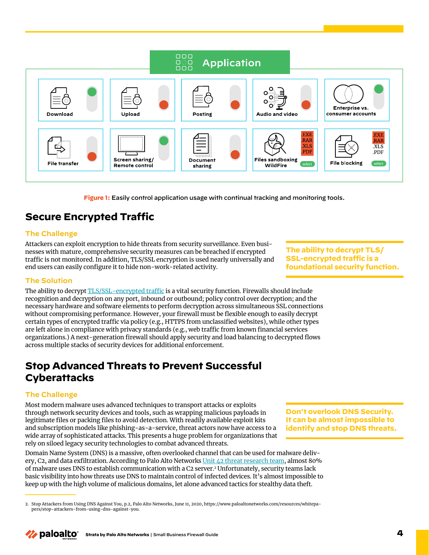**Figure 1:** Easily control application usage with continual tracking and monitoring tools.

# **Secure Encrypted Traffic**

#### **The Challenge**

Attackers can exploit encryption to hide threats from security surveillance. Even businesses with mature, comprehensive security measures can be breached if encrypted traffic is not monitored. In addition, TLS/SSL encryption is used nearly universally and end users can easily configure it to hide non-work-related activity.

**The ability to decrypt TLS/ SSL-encrypted traffic is a foundational security function.** 

#### **The Solution**

The ability to decrypt [TLS/SSL-encrypted traffic](https://www.paloaltonetworks.com/resources/whitepapers/decryption-why-where-and-how) is a vital security function. Firewalls should include recognition and decryption on any port, inbound or outbound; policy control over decryption; and the necessary hardware and software elements to perform decryption across simultaneous SSL connections without compromising performance. However, your firewall must be flexible enough to easily decrypt certain types of encrypted traffic via policy (e.g., HTTPS from unclassified websites), while other types are left alone in compliance with privacy standards (e.g., web traffic from known financial services organizations.) A next-generation firewall should apply security and load balancing to decrypted flows across multiple stacks of security devices for additional enforcement.

### **Stop Advanced Threats to Prevent Successful Cyberattacks**

#### **The Challenge**

Most modern malware uses advanced techniques to transport attacks or exploits through network security devices and tools, such as wrapping malicious payloads in legitimate files or packing files to avoid detection. With readily available exploit kits and subscription models like phishing-as-a-service, threat actors now have access to a wide array of sophisticated attacks. This presents a huge problem for organizations that rely on siloed legacy security technologies to combat advanced threats.

Domain Name System (DNS) is a massive, often overlooked channel that can be used for malware deliv-ery, C2, and data exfiltration. According to Palo Alto Networks [Unit 42 threat research team,](https://www.paloaltonetworks.com/unit42) almost 80% of malware uses DNS to establish communication with a C2 server.2 Unfortunately, security teams lack basic visibility into how threats use DNS to maintain control of infected devices. It's almost impossible to keep up with the high volume of malicious domains, let alone advanced tactics for stealthy data theft.

**Don't overlook DNS Security. It can be almost impossible to identify and stop DNS threats.**



nnn

<sup>2.</sup> Stop Attackers from Using DNS Against You, p.2, Palo Alto Networks, June 11, 2020, https://www.paloaltonetworks.com/resources/whitepapers/stop-attackers-from-using-dns-against-you.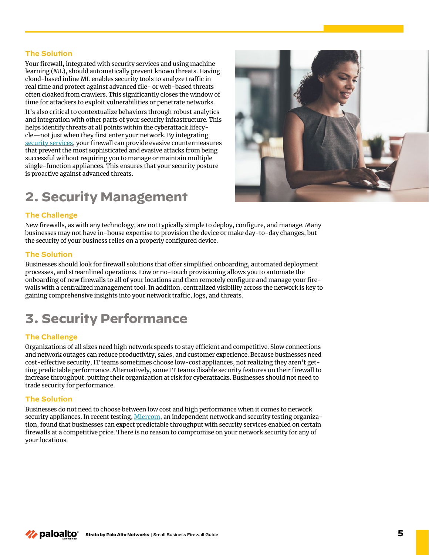#### **The Solution**

Your firewall, integrated with security services and using machine learning (ML), should automatically prevent known threats. Having cloud-based inline ML enables security tools to analyze traffic in real time and protect against advanced file- or web-based threats often cloaked from crawlers. This significantly closes the window of time for attackers to exploit vulnerabilities or penetrate networks.

It's also critical to contextualize behaviors through robust analytics and integration with other parts of your security infrastructure. This helps identify threats at all points within the cyberattack lifecycle—not just when they first enter your network. By integrating [security services](https://www.paloaltonetworks.com/network-security/security-subscriptions), your firewall can provide evasive countermeasures that prevent the most sophisticated and evasive attacks from being successful without requiring you to manage or maintain multiple single-function appliances. This ensures that your security posture is proactive against advanced threats.

# **2. Security Management**

#### **The Challenge**

New firewalls, as with any technology, are not typically simple to deploy, configure, and manage. Many businesses may not have in-house expertise to provision the device or make day-to-day changes, but the security of your business relies on a properly configured device.

#### **The Solution**

Businesses should look for firewall solutions that offer simplified onboarding, automated deployment processes, and streamlined operations. Low or no-touch provisioning allows you to automate the onboarding of new firewalls to all of your locations and then remotely configure and manage your firewalls with a centralized management tool. In addition, centralized visibility across the network is key to gaining comprehensive insights into your network traffic, logs, and threats.

# **3. Security Performance**

#### **The Challenge**

Organizations of all sizes need high network speeds to stay efficient and competitive. Slow connections and network outages can reduce productivity, sales, and customer experience. Because businesses need cost-effective security, IT teams sometimes choose low-cost appliances, not realizing they aren't getting predictable performance. Alternatively, some IT teams disable security features on their firewall to increase throughput, putting their organization at risk for cyberattacks. Businesses should not need to trade security for performance.

#### **The Solution**

Businesses do not need to choose between low cost and high performance when it comes to network security appliances. In recent testing, [Miercom,](https://start.paloaltonetworks.com/security-without-compromise.html) an independent network and security testing organization, found that businesses can expect predictable throughput with security services enabled on certain firewalls at a competitive price. There is no reason to compromise on your network security for any of your locations.